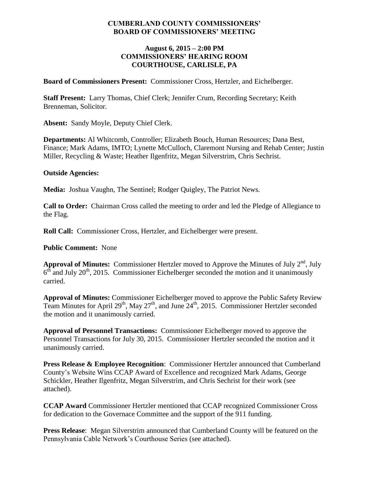#### **CUMBERLAND COUNTY COMMISSIONERS' BOARD OF COMMISSIONERS' MEETING**

#### **August 6, 2015 – 2:00 PM COMMISSIONERS' HEARING ROOM COURTHOUSE, CARLISLE, PA**

**Board of Commissioners Present:** Commissioner Cross, Hertzler, and Eichelberger.

**Staff Present:** Larry Thomas, Chief Clerk; Jennifer Crum, Recording Secretary; Keith Brenneman, Solicitor.

**Absent:** Sandy Moyle, Deputy Chief Clerk.

**Departments:** Al Whitcomb, Controller; Elizabeth Bouch, Human Resources; Dana Best, Finance; Mark Adams, IMTO; Lynette McCulloch, Claremont Nursing and Rehab Center; Justin Miller, Recycling & Waste; Heather Ilgenfritz, Megan Silverstrim, Chris Sechrist.

#### **Outside Agencies:**

**Media:** Joshua Vaughn, The Sentinel; Rodger Quigley, The Patriot News.

**Call to Order:** Chairman Cross called the meeting to order and led the Pledge of Allegiance to the Flag.

**Roll Call:** Commissioner Cross, Hertzler, and Eichelberger were present.

#### **Public Comment:** None

**Approval of Minutes:** Commissioner Hertzler moved to Approve the Minutes of July  $2<sup>nd</sup>$ , July  $6<sup>th</sup>$  and July 20<sup>th</sup>, 2015. Commissioner Eichelberger seconded the motion and it unanimously carried.

**Approval of Minutes:** Commissioner Eichelberger moved to approve the Public Safety Review Team Minutes for April  $29<sup>th</sup>$ , May  $27<sup>th</sup>$ , and June  $24<sup>th</sup>$ , 2015. Commissioner Hertzler seconded the motion and it unanimously carried.

**Approval of Personnel Transactions:** Commissioner Eichelberger moved to approve the Personnel Transactions for July 30, 2015. Commissioner Hertzler seconded the motion and it unanimously carried.

**Press Release & Employee Recognition**: Commissioner Hertzler announced that Cumberland County's Website Wins CCAP Award of Excellence and recognized Mark Adams, George Schickler, Heather Ilgenfritz, Megan Silverstrim, and Chris Sechrist for their work (see attached).

**CCAP Award** Commissioner Hertzler mentioned that CCAP recognized Commissioner Cross for dedication to the Governace Committee and the support of the 911 funding.

**Press Release**: Megan Silverstrim announced that Cumberland County will be featured on the Pennsylvania Cable Network's Courthouse Series (see attached).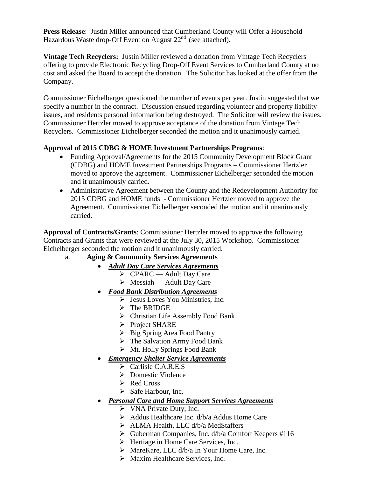**Press Release**: Justin Miller announced that Cumberland County will Offer a Household Hazardous Waste drop-Off Event on August  $22<sup>nd</sup>$  (see attached).

**Vintage Tech Recyclers:** Justin Miller reviewed a donation from Vintage Tech Recyclers offering to provide Electronic Recycling Drop-Off Event Services to Cumberland County at no cost and asked the Board to accept the donation. The Solicitor has looked at the offer from the Company.

Commissioner Eichelberger questioned the number of events per year. Justin suggested that we specify a number in the contract. Discussion ensued regarding volunteer and property liability issues, and residents personal information being destroyed. The Solicitor will review the issues. Commissioner Hertzler moved to approve acceptance of the donation from Vintage Tech Recyclers. Commissioner Eichelberger seconded the motion and it unanimously carried.

#### **Approval of 2015 CDBG & HOME Investment Partnerships Programs**:

- Funding Approval/Agreements for the 2015 Community Development Block Grant (CDBG) and HOME Investment Partnerships Programs – Commissioner Hertzler moved to approve the agreement. Commissioner Eichelberger seconded the motion and it unanimously carried.
- Administrative Agreement between the County and the Redevelopment Authority for 2015 CDBG and HOME funds - Commissioner Hertzler moved to approve the Agreement. Commissioner Eichelberger seconded the motion and it unanimously carried.

**Approval of Contracts/Grants**: Commissioner Hertzler moved to approve the following Contracts and Grants that were reviewed at the July 30, 2015 Workshop. Commissioner Eichelberger seconded the motion and it unanimously carried.

### a. **Aging & Community Services Agreements**

- *Adult Day Care Services Agreements*
	- CPARC Adult Day Care
		- $\triangleright$  Messiah Adult Day Care
- *Food Bank Distribution Agreements*
	- $\triangleright$  Jesus Loves You Ministries, Inc.
	- $\triangleright$  The BRIDGE
	- Christian Life Assembly Food Bank
	- Project SHARE
	- $\triangleright$  Big Spring Area Food Pantry
	- $\triangleright$  The Salvation Army Food Bank
	- $\triangleright$  Mt. Holly Springs Food Bank
- *Emergency Shelter Service Agreements*
	- $\triangleright$  Carlisle C.A.R.E.S
	- **Domestic Violence**
	- $\triangleright$  Red Cross
	- $\triangleright$  Safe Harbour, Inc.
- *Personal Care and Home Support Services Agreements*
	- $\triangleright$  VNA Private Duty, Inc.
	- $\triangleright$  Addus Healthcare Inc. d/b/a Addus Home Care
	- > ALMA Health, LLC d/b/a MedStaffers
	- $\triangleright$  Guberman Companies, Inc. d/b/a Comfort Keepers #116
	- $\triangleright$  Hertiage in Home Care Services, Inc.
	- $\triangleright$  MareKare, LLC d/b/a In Your Home Care, Inc.
	- $\triangleright$  Maxim Healthcare Services, Inc.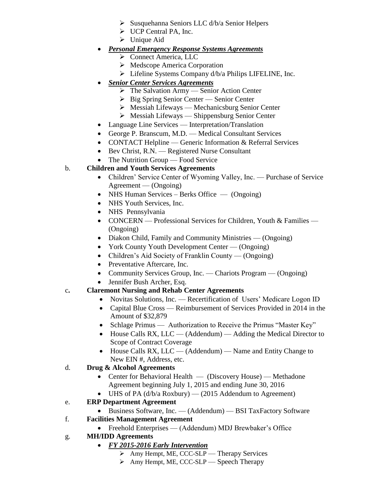- Susquehanna Seniors LLC d/b/a Senior Helpers
- UCP Central PA, Inc.
- $\triangleright$  Unique Aid
- *Personal Emergency Response Systems Agreements*
	- Connect America, LLC
	- $\triangleright$  Medscope America Corporation
	- Lifeline Systems Company d/b/a Philips LIFELINE, Inc.
- *Senior Center Services Agreements*
	- $\triangleright$  The Salvation Army Senior Action Center
	- $\triangleright$  Big Spring Senior Center Senior Center
	- $\triangleright$  Messiah Lifeways Mechanicsburg Senior Center
	- $\triangleright$  Messiah Lifeways Shippensburg Senior Center
- Language Line Services Interpretation/Translation
- George P. Branscum, M.D. Medical Consultant Services
- CONTACT Helpline Generic Information & Referral Services
- Bev Christ, R.N. Registered Nurse Consultant
- The Nutrition Group Food Service

# b. **Children and Youth Services Agreements**

- Children' Service Center of Wyoming Valley, Inc. Purchase of Service Agreement — (Ongoing)
- NHS Human Services Berks Office (Ongoing)
- NHS Youth Services, Inc.
- NHS Pennsylvania
- CONCERN Professional Services for Children, Youth & Families (Ongoing)
- Diakon Child, Family and Community Ministries (Ongoing)
- York County Youth Development Center (Ongoing)
- Children's Aid Society of Franklin County (Ongoing)
- Preventative Aftercare, Inc.
- Community Services Group, Inc. Chariots Program (Ongoing)
- Jennifer Bush Archer, Esq.

## c**. Claremont Nursing and Rehab Center Agreements**

- Novitas Solutions, Inc. Recertification of Users' Medicare Logon ID
- Capital Blue Cross Reimbursement of Services Provided in 2014 in the Amount of \$32,879
- Schlage Primus Authorization to Receive the Primus "Master Key"
- House Calls RX,  $LLC (Addendum) Adding the Medical Director to$ Scope of Contract Coverage
- $\bullet$  House Calls RX, LLC (Addendum) Name and Entity Change to New EIN #, Address, etc.

## d. **Drug & Alcohol Agreements**

- Center for Behavioral Health (Discovery House) Methadone Agreement beginning July 1, 2015 and ending June 30, 2016
- $\bullet$  UHS of PA (d/b/a Roxbury) (2015 Addendum to Agreement)

# e. **ERP Department Agreement**

- Business Software, Inc. (Addendum) BSI TaxFactory Software
- f. **Facilities Management Agreement**
	- Freehold Enterprises (Addendum) MDJ Brewbaker's Office

# g. **MH/IDD Agreements**

## *FY 2015-2016 Early Intervention*

- $\triangleright$  Amy Hempt, ME, CCC-SLP Therapy Services
- $\triangleright$  Amy Hempt, ME, CCC-SLP Speech Therapy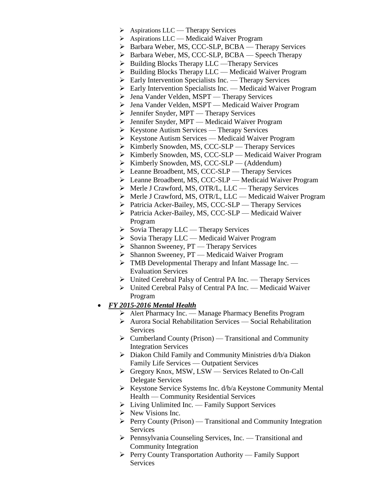- $\triangleright$  Aspirations LLC Therapy Services
- ▶ Aspirations LLC Medicaid Waiver Program
- ▶ Barbara Weber, MS, CCC-SLP, BCBA Therapy Services
- $\triangleright$  Barbara Weber, MS, CCC-SLP, BCBA Speech Therapy
- $\triangleright$  Building Blocks Therapy LLC —Therapy Services
- $\triangleright$  Building Blocks Therapy LLC Medicaid Waiver Program
- $\triangleright$  Early Intervention Specialists Inc. Therapy Services
- $\triangleright$  Early Intervention Specialists Inc. Medicaid Waiver Program
- $\triangleright$  Jena Vander Velden, MSPT Therapy Services
- > Jena Vander Velden, MSPT Medicaid Waiver Program
- $\triangleright$  Jennifer Snyder, MPT Therapy Services
- Jennifer Snyder, MPT Medicaid Waiver Program
- $\triangleright$  Keystone Autism Services Therapy Services
- $\triangleright$  Keystone Autism Services Medicaid Waiver Program
- $\triangleright$  Kimberly Snowden, MS, CCC-SLP Therapy Services
- $\triangleright$  Kimberly Snowden, MS, CCC-SLP Medicaid Waiver Program
- $\triangleright$  Kimberly Snowden, MS, CCC-SLP (Addendum)
- Leanne Broadbent, MS, CCC-SLP Therapy Services
- Leanne Broadbent, MS, CCC-SLP Medicaid Waiver Program
- Merle J Crawford, MS, OTR/L, LLC Therapy Services
- Merle J Crawford, MS, OTR/L, LLC Medicaid Waiver Program
- $\triangleright$  Patricia Acker-Bailey, MS, CCC-SLP Therapy Services
- ▶ Patricia Acker-Bailey, MS, CCC-SLP Medicaid Waiver Program
- $\triangleright$  Sovia Therapy LLC Therapy Services
- $\triangleright$  Sovia Therapy LLC Medicaid Waiver Program
- $\triangleright$  Shannon Sweeney, PT Therapy Services
- $\triangleright$  Shannon Sweeney, PT Medicaid Waiver Program
- TMB Developmental Therapy and Infant Massage Inc. Evaluation Services
- United Cerebral Palsy of Central PA Inc. Therapy Services
- United Cerebral Palsy of Central PA Inc. Medicaid Waiver Program
- *FY 2015-2016 Mental Health*
	- Alert Pharmacy Inc. Manage Pharmacy Benefits Program
	- $\triangleright$  Aurora Social Rehabilitation Services Social Rehabilitation **Services**
	- $\triangleright$  Cumberland County (Prison) Transitional and Community Integration Services
	- $\triangleright$  Diakon Child Family and Community Ministries d/b/a Diakon Family Life Services — Outpatient Services
	- Gregory Knox, MSW, LSW Services Related to On-Call Delegate Services
	- $\triangleright$  Keystone Service Systems Inc. d/b/a Keystone Community Mental Health — Community Residential Services
	- $\triangleright$  Living Unlimited Inc. Family Support Services
	- $\triangleright$  New Visions Inc.
	- $\triangleright$  Perry County (Prison) Transitional and Community Integration Services
	- $\triangleright$  Pennsylvania Counseling Services, Inc. Transitional and Community Integration
	- $\triangleright$  Perry County Transportation Authority Family Support Services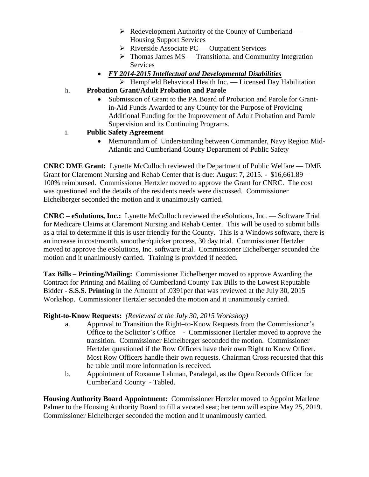- $\triangleright$  Redevelopment Authority of the County of Cumberland Housing Support Services
- $\triangleright$  Riverside Associate PC Outpatient Services
- $\triangleright$  Thomas James MS Transitional and Community Integration **Services**
- *FY 2014-2015 Intellectual and Developmental Disabilities*
	- $\triangleright$  Hempfield Behavioral Health Inc. Licensed Day Habilitation
- h. **Probation Grant/Adult Probation and Parole**
	- Submission of Grant to the PA Board of Probation and Parole for Grantin-Aid Funds Awarded to any County for the Purpose of Providing Additional Funding for the Improvement of Adult Probation and Parole Supervision and its Continuing Programs.
- i. **Public Safety Agreement**
	- Memorandum of Understanding between Commander, Navy Region Mid-Atlantic and Cumberland County Department of Public Safety

**CNRC DME Grant:** Lynette McCulloch reviewed the Department of Public Welfare — DME Grant for Claremont Nursing and Rehab Center that is due: August 7, 2015. - \$16,661.89 – 100% reimbursed. Commissioner Hertzler moved to approve the Grant for CNRC. The cost was questioned and the details of the residents needs were discussed. Commissioner Eichelberger seconded the motion and it unanimously carried.

**CNRC – eSolutions, Inc.:** Lynette McCulloch reviewed the eSolutions, Inc. — Software Trial for Medicare Claims at Claremont Nursing and Rehab Center. This will be used to submit bills as a trial to determine if this is user friendly for the County. This is a Windows software, there is an increase in cost/month, smoother/quicker process, 30 day trial. Commissioner Hertzler moved to approve the eSolutions, Inc. software trial. Commissioner Eichelberger seconded the motion and it unanimously carried. Training is provided if needed.

**Tax Bills – Printing/Mailing:** Commissioner Eichelberger moved to approve Awarding the Contract for Printing and Mailing of Cumberland County Tax Bills to the Lowest Reputable Bidder - **S.S.S. Printing** in the Amount of .0391per that was reviewed at the July 30, 2015 Workshop. Commissioner Hertzler seconded the motion and it unanimously carried.

### **Right-to-Know Requests:** *(Reviewed at the July 30, 2015 Workshop)*

- a. Approval to Transition the Right–to-Know Requests from the Commissioner's Office to the Solicitor's Office - Commissioner Hertzler moved to approve the transition. Commissioner Eichelberger seconded the motion. Commissioner Hertzler questioned if the Row Officers have their own Right to Know Officer. Most Row Officers handle their own requests. Chairman Cross requested that this be table until more information is received.
- b. Appointment of Roxanne Lehman, Paralegal, as the Open Records Officer for Cumberland County - Tabled.

**Housing Authority Board Appointment:** Commissioner Hertzler moved to Appoint Marlene Palmer to the Housing Authority Board to fill a vacated seat; her term will expire May 25, 2019. Commissioner Eichelberger seconded the motion and it unanimously carried.